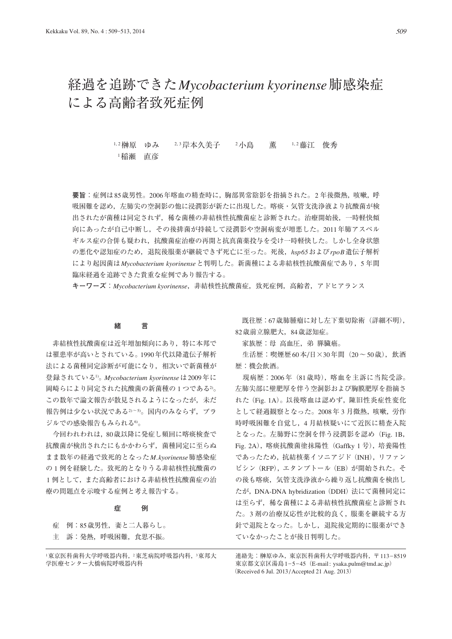# 経過を追跡できた*Mycobacterium kyorinense*肺感染症 による高齢者致死症例

1, 2 榊原 ゆみ 2, 3 岸本久美子 2小島 薫 1, 2 藤江 俊秀 **1稲瀬 直彦 インストランス しゅうしょく しゅうしょく しゅうしょく** 

**要旨**:症例は85歳男性。2006年喀血の精査時に,胸部異常陰影を指摘された。2 年後微熱,咳嗽,呼 吸困難を認め,左肺尖の空洞影の他に浸潤影が新たに出現した。喀痰・気管支洗浄液より抗酸菌が検 出されたが菌種は同定されず,稀な菌種の非結核性抗酸菌症と診断された。治療開始後,一時軽快傾 向にあったが自己中断し,その後排菌が持続して浸潤影や空洞病変が増悪した。2011年肺アスペル ギルス症の合併も疑われ,抗酸菌症治療の再開と抗真菌薬投与を受け一時軽快した。しかし全身状態 の悪化や認知症のため,退院後服薬が継続できず死亡に至った。死後,*hsp65*および*rpoB*遺伝子解析 により起因菌は*Mycobacterium kyorinense*と判明した。新菌種による非結核性抗酸菌症であり,5 年間 臨床経過を追跡できた貴重な症例であり報告する。

**キーワーズ**:*Mycobacterium kyorinense*,非結核性抗酸菌症,致死症例,高齢者,アドヒアランス

## **緒 言**

 非結核性抗酸菌症は近年増加傾向にあり,特に本邦で は罹患率が高いとされている。1990年代以降遺伝子解析 法による菌種同定診断が可能になり,相次いで新菌種が 登録されている1)。*Mycobacterium kyorinense*は2009年に 岡崎らにより同定された抗酸菌の新菌種の 1 つである2)。 この数年で論文報告が散見されるようになったが,未だ 報告例は少ない状況である2)~5)。国内のみならず,ブラ ジルでの感染報告もみられる6)。

 今回われわれは,80歳以降に発症し頻回に喀痰検査で 抗酸菌が検出されたにもかかわらず,菌種同定に至らぬ まま数年の経過で致死的となった*M. kyorinense*肺感染症 の 1 例を経験した。致死的となりうる非結核性抗酸菌の 1 例として,また高齢者における非結核性抗酸菌症の治 療の問題点を示唆する症例と考え報告する。

#### **症 例**

 症 例:85歳男性,妻と二人暮らし。 主 訴:発熱,呼吸困難,食思不振。

 既往歴:67歳肺腫瘤に対し左下葉切除術(詳細不明), 82歳前立腺肥大,84歳認知症。

家族歴:母 高血圧,弟 膵臓癌。

生活歴:喫煙歴 $60$ 本/日 $\times$ 30年間 $(20 \sim 50)$ 歳),飲酒 歴:機会飲酒。

 現病歴:2006年(81歳時),喀血を主訴に当院受診。 左肺尖部に壁肥厚を伴う空洞影および胸膜肥厚を指摘さ れた(Fig. 1A)。以後喀血は認めず,陳旧性炎症性変化 として経過観察となった。2008年 3 月微熱,咳嗽,労作 時呼吸困難を自覚し,4 月結核疑いにて近医に精査入院 となった。左肺野に空洞を伴う浸潤影を認め (Fig. 1B, Fig. 2A),喀痰抗酸菌塗抹陽性(Gaffky 1 号),培養陽性 であったため,抗結核薬イソニアジド(INH),リファン ピシン(RFP),エタンブトール(EB)が開始された。そ の後も喀痰,気管支洗浄液から繰り返し抗酸菌を検出し たが, DNA-DNA hybridization (DDH)法にて菌種同定に は至らず,稀な菌種による非結核性抗酸菌症と診断され た。3 剤の治療反応性が比較的良く,服薬を継続する方 針で退院となった。しかし,退院後定期的に服薬ができ ていなかったことが後日判明した。

連絡先:榊原ゆみ, 東京医科歯科大学呼吸器内科, 〒113-8519 東京都文京区湯島1-5-45 (E-mail: ysaka.pulm@tmd.ac.jp) (Received 6 Jul. 2013 / Accepted 21 Aug. 2013)

<sup>1</sup>東京医科歯科大学呼吸器内科, 2東芝病院呼吸器内科, 3東邦大 学医療センター大橋病院呼吸器内科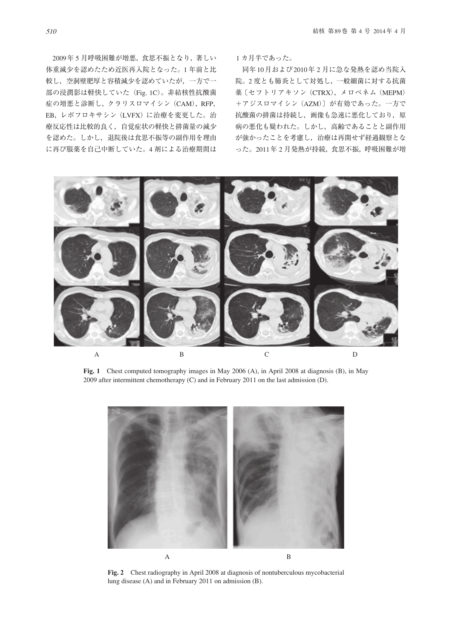2009年 5 月呼吸困難が増悪,食思不振となり,著しい 体重減少を認めたため近医再入院となった。1 年前と比 較し,空洞壁肥厚と容積減少を認めていたが,一方で一 部の浸潤影は軽快していた (Fig. 1C)。非結核性抗酸菌 症の増悪と診断し、クラリスロマイシン (CAM), RFP, EB,レボフロキサシン(LVFX)に治療を変更した。治 療反応性は比較的良く,自覚症状の軽快と排菌量の減少 を認めた。しかし,退院後は食思不振等の副作用を理由 に再び服薬を自己中断していた。4 剤による治療期間は 1 カ月半であった。

 同年10月および2010年 2 月に急な発熱を認め当院入 院。2 度とも肺炎として対処し,一般細菌に対する抗菌 薬〔セフトリアキソン (CTRX), メロペネム (MEPM) +アジスロマイシン(AZM)〕が有効であった。一方で 抗酸菌の排菌は持続し、画像も急速に悪化しており、原 病の悪化も疑われた。しかし,高齢であることと副作用 が強かったことを考慮し,治療は再開せず経過観察とな った。2011年 2 月発熱が持続,食思不振,呼吸困難が増



**Fig. 1** Chest computed tomography images in May 2006 (A), in April 2008 at diagnosis (B), in May 2009 after intermittent chemotherapy (C) and in February 2011 on the last admission (D).



**Fig. 2** Chest radiography in April 2008 at diagnosis of nontuberculous mycobacterial lung disease (A) and in February 2011 on admission (B).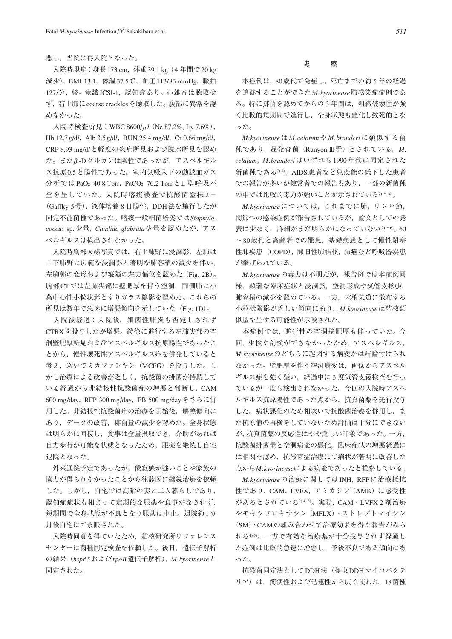### 悪し,当院に再入院となった。

 入院時現症:身長173 cm,体重39.1 kg(4 年間で20 kg 減少),BMI 13.1,体温37.5℃,血圧113/83 mmHg,脈拍 127/分, 整。意識 JCSI-1, 認知症あり。心雑音は聴取せ ず,右上肺にcoarse cracklesを聴取した。腹部に異常を認 めなかった。

 入院時検査所見:WBC 8600/μ*l*(Ne 87.2%, Ly 7.6%), Hb 12.7 g/d*l*, Alb 3.5 g/d*l*, BUN 25.4 mg/d*l*, Cr 0.66 mg/d*l*, CRP 8.93 mg/d*l*と軽度の炎症所見および脱水所見を認め た。またβ-Dグルカンは陰性であったが,アスペルギル ス抗原0.5と陽性であった。室内気吸入下の動脈血ガス 分析ではPaO<sub>2</sub> 40.8 Torr, PaCO<sub>2</sub> 70.2 TorrとⅡ型呼吸不 全を呈していた。入院時喀痰検査で抗酸菌塗抹2+ (Gaffky 5号),液体培養 8 日陽性,DDH法を施行したが 同定不能菌種であった。喀痰一般細菌培養では*Staphylococcus* sp.少量,*Candida glabrata*少量を認めたが,アス ペルギルスは検出されなかった。

 入院時胸部X線写真では,右上肺野に浸潤影,左肺は 上下肺野に広範な浸潤影と著明な肺容積の減少を伴い, 左胸郭の変形および縦隔の左方偏位を認めた(Fig. 2B)。 胸部CTでは左肺尖部に壁肥厚を伴う空洞,両側肺に小 葉中心性小粒状影とすりガラス陰影を認めた。これらの 所見は数年で急速に増悪傾向を示していた(Fig. 1D)。

 入院後経過:入院後,細菌性肺炎も否定しきれず CTRXを投与したが増悪。緩徐に進行する左肺尖部の空 洞壁肥厚所見およびアスペルギルス抗原陽性であったこ とから,慢性壊死性アスペルギルス症を併発していると 考え、次いでミカファンギン (MCFG) を投与した。し かし治療による改善が乏しく,抗酸菌の排菌が持続して いる経過から非結核性抗酸菌症の増悪と判断し,CAM 600 mg/day,RFP 300 mg/day,EB 500 mg/dayをさらに併 用した。非結核性抗酸菌症の治療を開始後,解熱傾向に あり,データの改善,排菌量の減少を認めた。全身状態 は明らかに回復し,食事は全量摂取でき,介助があれば 自力歩行が可能な状態となったため,服薬を継続し自宅 退院となった。

 外来通院予定であったが,倦怠感が強いことや家族の 協力が得られなかったことから往診医に継続治療を依頼 した。しかし,自宅では高齢の妻と二人暮らしであり, 認知症症状も相まって定期的な服薬や食事がなされず, 短期間で全身状態が不良となり服薬は中止。退院約1カ 月後自宅にて永眠された。

 入院時同意を得ていたため,結核研究所リファレンス センターに菌種同定検査を依頼した。後日,遺伝子解析 の結果(*hsp65*および*rpoB*遺伝子解析),*M. kyorinense*と 同定された。

### **考 察**

 本症例は,80歳代で発症し,死亡までの約 5 年の経過 を追跡することができた*M. kyorinense*肺感染症症例であ る。特に排菌を認めてからの 3 年間は,組織破壊性が強 く比較的短期間で進行し,全身状態も悪化し致死的とな った。

*M. kyorinense*は*M. celatum*や*M. branderi*に類似する菌 種であり,遅発育菌(RunyonⅢ群)とされている。*M. celatum*,*M. branderi*はいずれも1990年代に同定された 新菌種である78)。AIDS患者など免疫能の低下した患者 での報告が多いが健常者での報告もあり,一部の新菌種 の中では比較的毒力が強いことが示されている7)~10)。

*M. kyorinense*については,これまでに肺,リンパ節, 関節への感染症例が報告されているが,論文としての発 表は少なく、詳細がまだ明らかになっていない2)~60 60 ~80歳代と高齢者での罹患,基礎疾患として慢性閉塞 性肺疾患 (COPD), 陳旧性肺結核, 肺癌など呼吸器疾患 が挙げられている。

*M. kyorinense*の毒力は不明だが,報告例では本症例同 様, 顕著な臨床症状と浸潤影, 空洞形成や気管支拡張, 肺容積の減少を認めている。一方,末梢気道に散布する 小粒状陰影が乏しい傾向にあり,*M. kyorinense*は結核類 似型を呈する可能性が示唆された。

 本症例では,進行性の空洞壁肥厚も伴っていた。今 回,生検や剖検ができなかったため,アスペルギルス, *M. kyorinense*のどちらに起因する病変かは結論付けられ なかった。壁肥厚を伴う空洞病変は,画像からアスペル ギルス症を強く疑い,経過中に 3 度気管支鏡検査を行っ ているが一度も検出されなかった。今回の入院時アスペ ルギルス抗原陽性であった点から、抗真菌薬を先行投与 した。病状悪化のため相次いで抗酸菌治療を併用し,ま た抗原値の再検をしていないため評価は十分にできない が,抗真菌薬の反応性はやや乏しい印象であった。一方, 抗酸菌排菌量と空洞病変の悪化,臨床症状の増悪経過に は相関を認め,抗酸菌症治療にて病状が著明に改善した 点から*M. kyorinense*による病変であったと推察している。

*M. kyorinense*の治療に関してはINH,RFPに治療抵抗 性であり, CAM, LVFX, アミカシン (AMK) に感受性 があるとされている2) 4) 5)。実際,CAM・LVFX 2 剤治療 やモキシフロキサシン(MFLX)・ストレプトマイシン (SM)・CAMの組み合わせで治療効果を得た報告がみら れる4) 5)。一方で有効な治療薬が十分投与されず経過し た症例は比較的急速に増悪し,予後不良である傾向にあ った。

 抗酸菌同定法としてDDH法(極東DDHマイコバクテ リア)は、簡便性および迅速性から広く使われ、18菌種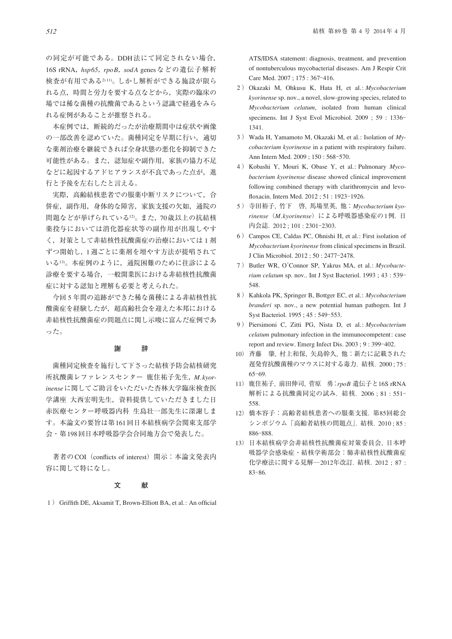の同定が可能である。DDH法にて同定されない場合, 16S rRNA,*hsp65*,*rpoB*,*sodA* genesなどの遺伝子解析 検査が有用である2) 11)。しかし解析ができる施設が限ら れる点,時間と労力を要する点などから,実際の臨床の 場では稀な菌種の抗酸菌であるという認識で経過をみら れる症例があることが推察される。

 本症例では,断続的だったが治療期間中は症状や画像 の一部改善を認めていた。菌種同定を早期に行い、適切 な薬剤治療を継続できれば全身状態の悪化を抑制できた 可能性がある。また,認知症や副作用,家族の協力不足 などに起因するアドヒアランスが不良であった点が、進 行と予後を左右したと言える。

実際,高齢結核患者での服薬中断リスクについて、合 併症,副作用,身体的な障害,家族支援の欠如,通院の 問題などが挙げられている12)。また,70歳以上の抗結核 薬投与においては消化器症状等の副作用が出現しやす く,対策として非結核性抗酸菌症の治療においては 1 剤 ずつ開始し,1週ごとに薬剤を増やす方法が提唱されて いる13)。本症例のように,通院困難のために往診による 診療を要する場合,一般開業医における非結核性抗酸菌 症に対する認知と理解も必要と考えられた。

 今回 5 年間の追跡ができた稀な菌種による非結核性抗 酸菌症を経験したが,超高齢社会を迎えた本邦における 非結核性抗酸菌症の問題点に関し示唆に富んだ症例であ った。

## **謝 辞**

 菌種同定検査を施行して下さった結核予防会結核研究 所抗酸菌レファレンスセンター 鹿住祐子先生,*M. kyorinense*に関してご助言をいただいた杏林大学臨床検査医 学講座 大西宏明先生,資料提供していただきました日 赤医療センター呼吸器内科 生島壮一郎先生に深謝しま す。本論文の要旨は第161回日本結核病学会関東支部学 会・第198回日本呼吸器学会合同地方会で発表した。

著者のCOI (conflicts of interest) 開示:本論文発表内 容に関して特になし。

#### **文 献**

1) Griffith DE, Aksamit T, Brown-Elliott BA, et al.: An official

ATS/IDSA statement: diagnosis, treatment, and prevention of nontuberculous mycobacterial diseases. Am J Respir Crit Care Med. 2007; 175: 367-416.

- 2 ) Okazaki M, Ohkusu K, Hata H, et al.: *Mycobacterium kyorinense* sp. nov., a novel, slow-growing species, related to *Mycobacterium celatum*, isolated from human clinical specimens. Int J Syst Evol Microbiol. 2009 : 59 : 1336– 1341.
- 3 ) Wada H, Yamamoto M, Okazaki M, et al.: Isolation of *Mycobacterium kyorinense* in a patient with respiratory failure. Ann Intern Med. 2009 ; 150 : 568‒570.
- 4 ) Kobashi Y, Mouri K, Obase Y, et al.: Pulmonary *Mycobacterium kyorinense* disease showed clinical improvement following combined therapy with clarithromycin and levofloxacin. Intern Med. 2012 ; 51 : 1923-1926.
- 5 ) 寺田裕子, 竹下 啓, 馬場里英, 他:*Mycobacterium kyorinense*(*M.kyorinense*)による呼吸器感染症の1例. 日 内会誌. 2012 ; 101 : 2301‒2303.
- 6 ) Campos CE, Caldas PC, Ohnishi H, et al.: First isolation of *Mycobacterium kyorinense* from clinical specimens in Brazil. J Clin Microbiol. 2012 ; 50 : 2477‒2478.
- 7 ) Butler WR, O'Connor SP, Yakrus MA, et al.: *Mycobacterium celatum* sp. nov.. Int J Syst Bacteriol. 1993 ; 43 : 539-548.
- 8 ) Kahkola PK, Springer B, Bottger EC, et al.: *Mycobacterium branderi* sp. nov., a new potential human pathogen. Int J Syst Bacteriol. 1995 : 45 : 549-553.
- 9 ) Piersimoni C, Zitti PG, Nista D, et al.: *Mycobacterium celatum* pulmonary infection in the immunocompetent: case report and review. Emerg Infect Dis. 2003; 9:399-402.
- 10) 斉藤 肇, 村上和保, 矢島幹久, 他:新たに記載された 遅発育抗酸菌種のマウスに対する毒力. 結核. 2000 ; 75 : 65‒69.
- 11) 鹿住祐子, 前田伸司, 菅原 勇:*rpoB* 遺伝子と16S rRNA 解析による抗酸菌同定の試み. 結核. 2006; 81: 551-558.
- 12) 橋本容子:高齢者結核患者への服薬支援. 第85回総会 シンポジウム「高齢者結核の問題点」. 結核. 2010 ; 85 : 886–888
- 13) 日本結核病学会非結核性抗酸菌症対策委員会, 日本呼 吸器学会感染症·結核学術部会:肺非結核性抗酸菌症 化学療法に関する見解―2012年改訂. 結核. 2012 ; 87 :  $83 - 86.$